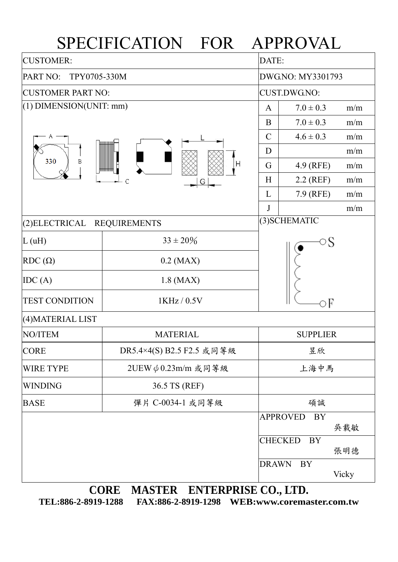## SPECIFICATION FOR APPROVAL

| <b>CUSTOMER:</b>            | DATE:                           |                 |                              |       |  |  |
|-----------------------------|---------------------------------|-----------------|------------------------------|-------|--|--|
| PART NO:<br>TPY0705-330M    | DWG.NO: MY3301793               |                 |                              |       |  |  |
| <b>CUSTOMER PART NO:</b>    | <b>CUST.DWG.NO:</b>             |                 |                              |       |  |  |
| $(1)$ DIMENSION(UNIT: mm)   | $\mathbf{A}$                    | $7.0 \pm 0.3$   | m/m                          |       |  |  |
|                             |                                 | B               | $7.0 \pm 0.3$                | m/m   |  |  |
|                             | $\mathcal{C}$                   | $4.6 \pm 0.3$   | m/m                          |       |  |  |
|                             |                                 | D               |                              | m/m   |  |  |
| 330<br>Β                    | G                               | 4.9 (RFE)       | m/m                          |       |  |  |
|                             | C<br>G                          | H               | $2.2$ (REF)                  | m/m   |  |  |
|                             |                                 | L               | 7.9 (RFE)                    | m/m   |  |  |
|                             |                                 | $\mathbf{J}$    |                              | m/m   |  |  |
| (2) ELECTRICAL REQUIREMENTS |                                 | (3) SCHEMATIC   |                              |       |  |  |
| L(uH)                       | $33 \pm 20\%$                   | ⊃S              |                              |       |  |  |
| $RDC(\Omega)$               | $0.2$ (MAX)                     | эF              |                              |       |  |  |
| IDC(A)                      | $1.8$ (MAX)                     |                 |                              |       |  |  |
| <b>TEST CONDITION</b>       | 1KHz / 0.5V                     |                 |                              |       |  |  |
| (4) MATERIAL LIST           |                                 |                 |                              |       |  |  |
| NO/ITEM                     | <b>MATERIAL</b>                 | <b>SUPPLIER</b> |                              |       |  |  |
| <b>CORE</b>                 | DR5.4×4(S) B2.5 F2.5 或同等級<br>昱欣 |                 |                              |       |  |  |
| <b>WIRE TYPE</b>            | 2UEW $\phi$ 0.23m/m 或同等級        |                 | 上海中馬                         |       |  |  |
| <b>WINDING</b>              | 36.5 TS (REF)                   |                 |                              |       |  |  |
| <b>BASE</b>                 | 彈片 C-0034-1 或同等級                |                 | 碩誠                           |       |  |  |
|                             |                                 |                 | <b>APPROVED</b><br><b>BY</b> |       |  |  |
|                             |                                 |                 |                              | 吳載敏   |  |  |
|                             |                                 |                 | <b>CHECKED</b><br><b>BY</b>  | 張明德   |  |  |
|                             |                                 | <b>DRAWN</b>    | <b>BY</b>                    | Vicky |  |  |

**CORE MASTER ENTERPRISE CO., LTD.** 

**TEL:886-2-8919-1288 FAX:886-2-8919-1298 WEB:www.coremaster.com.tw**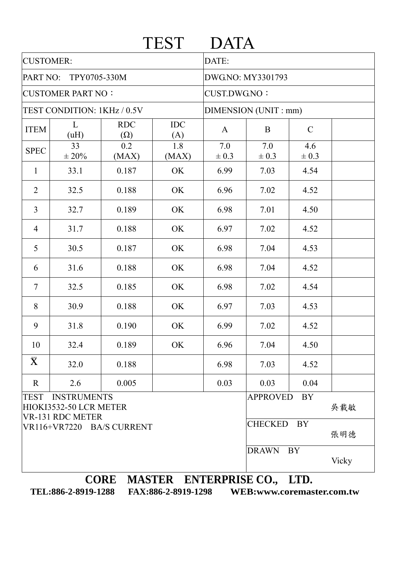| <b>CUSTOMER:</b><br>DATE:<br>PART NO:<br>DWG.NO: MY3301793<br>TPY0705-330M<br><b>CUSTOMER PART NO:</b><br><b>CUST.DWG.NO:</b><br>TEST CONDITION: 1KHz / 0.5V<br>DIMENSION (UNIT : mm)<br>L<br><b>RDC</b><br><b>IDC</b><br><b>ITEM</b><br>$\mathcal{C}$<br>$\mathbf{A}$<br>B<br>(uH)<br>$(\Omega)$<br>(A)<br>1.8<br>0.2<br>7.0<br>7.0<br>33<br>4.6<br><b>SPEC</b><br>$\pm 20\%$<br>(MAX)<br>$\pm 0.3$<br>$\pm 0.3$<br>$\pm 0.3$<br>(MAX)<br>0.187<br>OK<br>6.99<br>7.03<br>$\mathbf{1}$<br>33.1<br>4.54<br>$\overline{2}$<br>32.5<br>0.188<br>OK<br>6.96<br>7.02<br>4.52<br>3<br>32.7<br>0.189<br>OK<br>6.98<br>7.01<br>4.50<br>31.7<br>0.188<br>OK<br>6.97<br>7.02<br>4.52<br>$\overline{4}$<br>5<br>30.5<br>0.187<br>OK<br>6.98<br>7.04<br>4.53<br>31.6<br>0.188<br>OK<br>6.98<br>7.04<br>4.52<br>6<br>6.98<br>$\tau$<br>32.5<br>0.185<br>OK<br>7.02<br>4.54<br>8<br>30.9<br>0.188<br>OK<br>6.97<br>7.03<br>4.53<br>9<br>31.8<br>0.190<br>OK<br>6.99<br>7.02<br>4.52<br>0.189<br>OK<br>6.96<br>10<br>32.4<br>7.04<br>4.50<br>$\bar{\mathbf{X}}$<br>0.188<br>7.03<br>32.0<br>6.98<br>4.52<br>0.005<br>0.03<br>2.6<br>0.03<br>0.04<br>$\mathbf{R}$<br><b>INSTRUMENTS</b><br><b>APPROVED</b><br><b>BY</b><br><b>TEST</b><br>HIOKI3532-50 LCR METER<br>吳載敏<br><b>VR-131 RDC METER</b><br><b>CHECKED</b><br>BY<br>VR116+VR7220 BA/S CURRENT<br>張明德<br><b>DRAWN</b><br>BY<br>Vicky |  |  |  | <b>TEST</b> | <b>DATA</b> |  |  |  |  |
|-------------------------------------------------------------------------------------------------------------------------------------------------------------------------------------------------------------------------------------------------------------------------------------------------------------------------------------------------------------------------------------------------------------------------------------------------------------------------------------------------------------------------------------------------------------------------------------------------------------------------------------------------------------------------------------------------------------------------------------------------------------------------------------------------------------------------------------------------------------------------------------------------------------------------------------------------------------------------------------------------------------------------------------------------------------------------------------------------------------------------------------------------------------------------------------------------------------------------------------------------------------------------------------------------------------------------------------------------------------------------------|--|--|--|-------------|-------------|--|--|--|--|
|                                                                                                                                                                                                                                                                                                                                                                                                                                                                                                                                                                                                                                                                                                                                                                                                                                                                                                                                                                                                                                                                                                                                                                                                                                                                                                                                                                               |  |  |  |             |             |  |  |  |  |
|                                                                                                                                                                                                                                                                                                                                                                                                                                                                                                                                                                                                                                                                                                                                                                                                                                                                                                                                                                                                                                                                                                                                                                                                                                                                                                                                                                               |  |  |  |             |             |  |  |  |  |
|                                                                                                                                                                                                                                                                                                                                                                                                                                                                                                                                                                                                                                                                                                                                                                                                                                                                                                                                                                                                                                                                                                                                                                                                                                                                                                                                                                               |  |  |  |             |             |  |  |  |  |
|                                                                                                                                                                                                                                                                                                                                                                                                                                                                                                                                                                                                                                                                                                                                                                                                                                                                                                                                                                                                                                                                                                                                                                                                                                                                                                                                                                               |  |  |  |             |             |  |  |  |  |
|                                                                                                                                                                                                                                                                                                                                                                                                                                                                                                                                                                                                                                                                                                                                                                                                                                                                                                                                                                                                                                                                                                                                                                                                                                                                                                                                                                               |  |  |  |             |             |  |  |  |  |
|                                                                                                                                                                                                                                                                                                                                                                                                                                                                                                                                                                                                                                                                                                                                                                                                                                                                                                                                                                                                                                                                                                                                                                                                                                                                                                                                                                               |  |  |  |             |             |  |  |  |  |
|                                                                                                                                                                                                                                                                                                                                                                                                                                                                                                                                                                                                                                                                                                                                                                                                                                                                                                                                                                                                                                                                                                                                                                                                                                                                                                                                                                               |  |  |  |             |             |  |  |  |  |
|                                                                                                                                                                                                                                                                                                                                                                                                                                                                                                                                                                                                                                                                                                                                                                                                                                                                                                                                                                                                                                                                                                                                                                                                                                                                                                                                                                               |  |  |  |             |             |  |  |  |  |
|                                                                                                                                                                                                                                                                                                                                                                                                                                                                                                                                                                                                                                                                                                                                                                                                                                                                                                                                                                                                                                                                                                                                                                                                                                                                                                                                                                               |  |  |  |             |             |  |  |  |  |
|                                                                                                                                                                                                                                                                                                                                                                                                                                                                                                                                                                                                                                                                                                                                                                                                                                                                                                                                                                                                                                                                                                                                                                                                                                                                                                                                                                               |  |  |  |             |             |  |  |  |  |
|                                                                                                                                                                                                                                                                                                                                                                                                                                                                                                                                                                                                                                                                                                                                                                                                                                                                                                                                                                                                                                                                                                                                                                                                                                                                                                                                                                               |  |  |  |             |             |  |  |  |  |
|                                                                                                                                                                                                                                                                                                                                                                                                                                                                                                                                                                                                                                                                                                                                                                                                                                                                                                                                                                                                                                                                                                                                                                                                                                                                                                                                                                               |  |  |  |             |             |  |  |  |  |
|                                                                                                                                                                                                                                                                                                                                                                                                                                                                                                                                                                                                                                                                                                                                                                                                                                                                                                                                                                                                                                                                                                                                                                                                                                                                                                                                                                               |  |  |  |             |             |  |  |  |  |
|                                                                                                                                                                                                                                                                                                                                                                                                                                                                                                                                                                                                                                                                                                                                                                                                                                                                                                                                                                                                                                                                                                                                                                                                                                                                                                                                                                               |  |  |  |             |             |  |  |  |  |
|                                                                                                                                                                                                                                                                                                                                                                                                                                                                                                                                                                                                                                                                                                                                                                                                                                                                                                                                                                                                                                                                                                                                                                                                                                                                                                                                                                               |  |  |  |             |             |  |  |  |  |
|                                                                                                                                                                                                                                                                                                                                                                                                                                                                                                                                                                                                                                                                                                                                                                                                                                                                                                                                                                                                                                                                                                                                                                                                                                                                                                                                                                               |  |  |  |             |             |  |  |  |  |
|                                                                                                                                                                                                                                                                                                                                                                                                                                                                                                                                                                                                                                                                                                                                                                                                                                                                                                                                                                                                                                                                                                                                                                                                                                                                                                                                                                               |  |  |  |             |             |  |  |  |  |
|                                                                                                                                                                                                                                                                                                                                                                                                                                                                                                                                                                                                                                                                                                                                                                                                                                                                                                                                                                                                                                                                                                                                                                                                                                                                                                                                                                               |  |  |  |             |             |  |  |  |  |
|                                                                                                                                                                                                                                                                                                                                                                                                                                                                                                                                                                                                                                                                                                                                                                                                                                                                                                                                                                                                                                                                                                                                                                                                                                                                                                                                                                               |  |  |  |             |             |  |  |  |  |
|                                                                                                                                                                                                                                                                                                                                                                                                                                                                                                                                                                                                                                                                                                                                                                                                                                                                                                                                                                                                                                                                                                                                                                                                                                                                                                                                                                               |  |  |  |             |             |  |  |  |  |
|                                                                                                                                                                                                                                                                                                                                                                                                                                                                                                                                                                                                                                                                                                                                                                                                                                                                                                                                                                                                                                                                                                                                                                                                                                                                                                                                                                               |  |  |  |             |             |  |  |  |  |

**CORE MASTER ENTERPRISE CO., LTD.** 

**TEL:886-2-8919-1288 FAX:886-2-8919-1298 WEB:www.coremaster.com.tw**